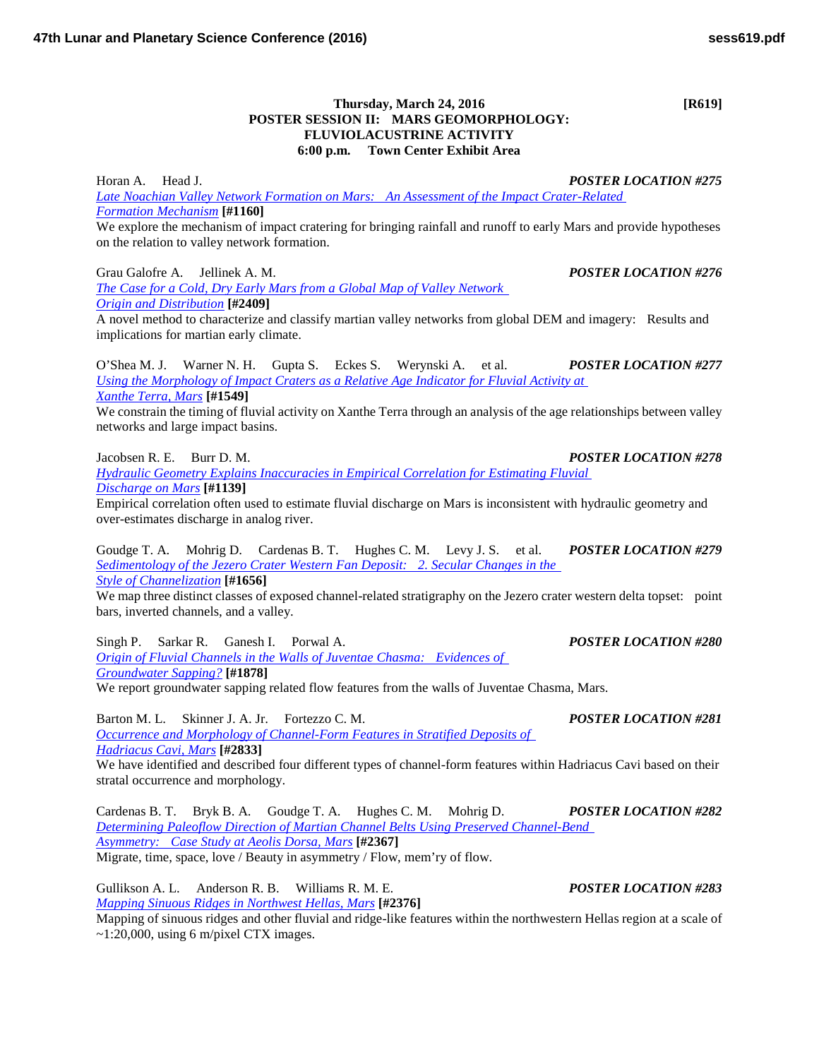## **Thursday, March 24, 2016 [R619] POSTER SESSION II: MARS GEOMORPHOLOGY: FLUVIOLACUSTRINE ACTIVITY 6:00 p.m. Town Center Exhibit Area**

Horan A. Head J. *POSTER LOCATION #275 Late Noachian Valley Network [Formation on Mars: An Assessment of the Impact Crater-Related](http://www.hou.usra.edu/meetings/lpsc2016/pdf/1160.pdf)  Formation [Mechanism](http://www.hou.usra.edu/meetings/lpsc2016/pdf/1160.pdf)* **[#1160]**

We explore the mechanism of impact cratering for bringing rainfall and runoff to early Mars and provide hypotheses on the relation to valley network formation.

Grau Galofre A. Jellinek A. M. *POSTER LOCATION #276 [The Case for a Cold, Dry Early Mars from a Global Map of Valley Network](http://www.hou.usra.edu/meetings/lpsc2016/pdf/2409.pdf)  Origin and [Distribution](http://www.hou.usra.edu/meetings/lpsc2016/pdf/2409.pdf)* **[#2409]** A novel method to characterize and classify martian valley networks from global DEM and imagery: Results and

implications for martian early climate.

O'Shea M. J. Warner N. H. Gupta S. Eckes S. Werynski A. et al. *POSTER LOCATION #277 [Using the Morphology of Impact Craters as a Relative Age Indicator for Fluvial Activity at](http://www.hou.usra.edu/meetings/lpsc2016/pdf/1549.pdf)  [Xanthe](http://www.hou.usra.edu/meetings/lpsc2016/pdf/1549.pdf) Terra, Mars* **[#1549]**

We constrain the timing of fluvial activity on Xanthe Terra through an analysis of the age relationships between valley networks and large impact basins.

Jacobsen R. E. Burr D. M. *POSTER LOCATION #278*

*[Hydraulic Geometry Explains Inaccuracies in Empirical Correlation for Estimating Fluvial](http://www.hou.usra.edu/meetings/lpsc2016/pdf/1139.pdf)  [Discharge](http://www.hou.usra.edu/meetings/lpsc2016/pdf/1139.pdf) on Mars* **[#1139]**

Empirical correlation often used to estimate fluvial discharge on Mars is inconsistent with hydraulic geometry and over-estimates discharge in analog river.

Goudge T. A. Mohrig D. Cardenas B. T. Hughes C. M. Levy J. S. et al. *POSTER LOCATION #279 [Sedimentology of the Jezero Crater Western Fan Deposit: 2. Secular Changes in the](http://www.hou.usra.edu/meetings/lpsc2016/pdf/1656.pdf)  Style of [Channelization](http://www.hou.usra.edu/meetings/lpsc2016/pdf/1656.pdf)* **[#1656]**

We map three distinct classes of exposed channel-related stratigraphy on the Jezero crater western delta topset: point bars, inverted channels, and a valley.

Singh P. Sarkar R. Ganesh I. Porwal A. *POSTER LOCATION #280 [Origin of Fluvial Channels in the Walls of Juventae Chasma: Evidences of](http://www.hou.usra.edu/meetings/lpsc2016/pdf/1878.pdf)  [Groundwater](http://www.hou.usra.edu/meetings/lpsc2016/pdf/1878.pdf) Sapping?* **[#1878]**

We report groundwater sapping related flow features from the walls of Juventae Chasma, Mars.

Barton M. L. Skinner J. A. Jr. Fortezzo C. M. *POSTER LOCATION #281 [Occurrence and Morphology of Channel-Form Features in Stratified Deposits of](http://www.hou.usra.edu/meetings/lpsc2016/pdf/2833.pdf)  [Hadriacus Cavi,](http://www.hou.usra.edu/meetings/lpsc2016/pdf/2833.pdf) Mars* **[#2833]**

We have identified and described four different types of channel-form features within Hadriacus Cavi based on their stratal occurrence and morphology.

Cardenas B. T. Bryk B. A. Goudge T. A. Hughes C. M. Mohrig D. *POSTER LOCATION #282 [Determining Paleoflow Direction of Martian Channel Belts Using Preserved Channel-Bend](http://www.hou.usra.edu/meetings/lpsc2016/pdf/2367.pdf)  [Asymmetry: Case Study at Aeolis Dorsa,](http://www.hou.usra.edu/meetings/lpsc2016/pdf/2367.pdf) Mars* **[#2367]** Migrate, time, space, love / Beauty in asymmetry / Flow, mem'ry of flow.

Gullikson A. L. Anderson R. B. Williams R. M. E. *POSTER LOCATION #283 [Mapping Sinuous Ridges in Northwest Hellas,](http://www.hou.usra.edu/meetings/lpsc2016/pdf/2376.pdf) Mars* **[#2376]** Mapping of sinuous ridges and other fluvial and ridge-like features within the northwestern Hellas region at a scale of  $\sim$ 1:20,000, using 6 m/pixel CTX images.

## **47th Lunar and Planetary Science Conference (2016) sess619.pdf**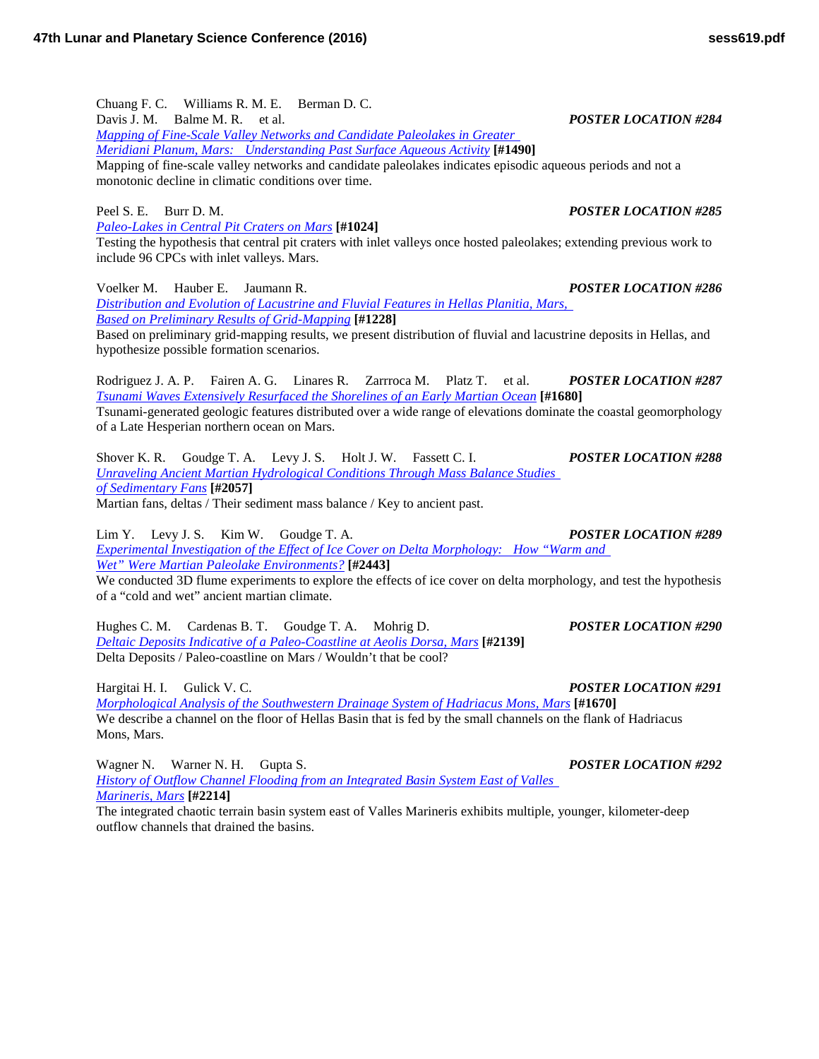Chuang F. C. Williams R. M. E. Berman D. C. Davis J. M. Balme M. R. et al. *POSTER LOCATION #284 [Mapping of Fine-Scale Valley Networks and Candidate Paleolakes in Greater](http://www.hou.usra.edu/meetings/lpsc2016/pdf/1490.pdf)  [Meridiani Planum, Mars: Understanding Past Surface Aqueous](http://www.hou.usra.edu/meetings/lpsc2016/pdf/1490.pdf) Activity* **[#1490]** Mapping of fine-scale valley networks and candidate paleolakes indicates episodic aqueous periods and not a monotonic decline in climatic conditions over time.

Peel S. E. Burr D. M. *POSTER LOCATION #285 [Paleo-Lakes in Central Pit Craters on](http://www.hou.usra.edu/meetings/lpsc2016/pdf/1024.pdf) Mars* **[#1024]** Testing the hypothesis that central pit craters with inlet valleys once hosted paleolakes; extending previous work to include 96 CPCs with inlet valleys. Mars.

Voelker M. Hauber E. Jaumann R. *POSTER LOCATION #286 [Distribution and Evolution of Lacustrine and Fluvial Features in Hellas Planitia, Mars,](http://www.hou.usra.edu/meetings/lpsc2016/pdf/1228.pdf)  [Based on Preliminary Results of](http://www.hou.usra.edu/meetings/lpsc2016/pdf/1228.pdf) Grid-Mapping* **[#1228]**

Based on preliminary grid-mapping results, we present distribution of fluvial and lacustrine deposits in Hellas, and hypothesize possible formation scenarios.

Rodriguez J. A. P. Fairen A. G. Linares R. Zarrroca M. Platz T. et al. *POSTER LOCATION #287 [Tsunami Waves Extensively Resurfaced the Shorelines of an Early Martian](http://www.hou.usra.edu/meetings/lpsc2016/pdf/1680.pdf) Ocean* **[#1680]** Tsunami-generated geologic features distributed over a wide range of elevations dominate the coastal geomorphology of a Late Hesperian northern ocean on Mars.

Shover K. R. Goudge T. A. Levy J. S. Holt J. W. Fassett C. I. *POSTER LOCATION #288 [Unraveling Ancient Martian Hydrological Conditions Through Mass Balance Studies](http://www.hou.usra.edu/meetings/lpsc2016/pdf/2057.pdf)  [of Sedimentary](http://www.hou.usra.edu/meetings/lpsc2016/pdf/2057.pdf) Fans* **[#2057]** Martian fans, deltas / Their sediment mass balance / Key to ancient past.

Lim Y. Levy J. S. Kim W. Goudge T. A. *POSTER LOCATION #289 Experimental Investigation of the Effect [of Ice Cover on Delta Morphology: How "Warm and](http://www.hou.usra.edu/meetings/lpsc2016/pdf/2443.pdf)  [Wet" Were Martian Paleolake](http://www.hou.usra.edu/meetings/lpsc2016/pdf/2443.pdf) Environments?* **[#2443]** We conducted 3D flume experiments to explore the effects of ice cover on delta morphology, and test the hypothesis

of a "cold and wet" ancient martian climate. Hughes C. M. Cardenas B. T. Goudge T. A. Mohrig D. *POSTER LOCATION #290*

*[Deltaic Deposits Indicative of a Paleo-Coastline at Aeolis Dorsa,](http://www.hou.usra.edu/meetings/lpsc2016/pdf/2139.pdf) Mars* **[#2139]** Delta Deposits / Paleo-coastline on Mars / Wouldn't that be cool?

Hargitai H. I. Gulick V. C. *POSTER LOCATION #291 [Morphological Analysis of the Southwestern Drainage System of Hadriacus Mons,](http://www.hou.usra.edu/meetings/lpsc2016/pdf/1670.pdf) Mars* **[#1670]** We describe a channel on the floor of Hellas Basin that is fed by the small channels on the flank of Hadriacus Mons, Mars.

Wagner N. Warner N. H. Gupta S. *POSTER LOCATION #292 [History of Outflow Channel Flooding from an Integrated Basin System East of Valles](http://www.hou.usra.edu/meetings/lpsc2016/pdf/2214.pdf)  [Marineris,](http://www.hou.usra.edu/meetings/lpsc2016/pdf/2214.pdf) Mars* **[#2214]**

The integrated chaotic terrain basin system east of Valles Marineris exhibits multiple, younger, kilometer-deep outflow channels that drained the basins.